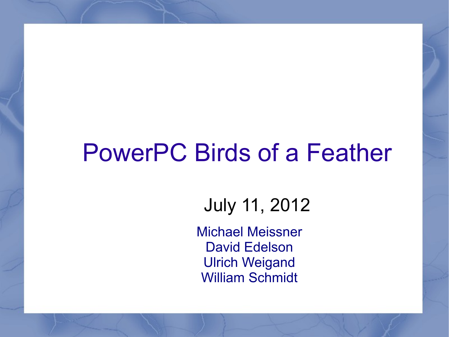### PowerPC Birds of a Feather

#### July 11, 2012

Michael Meissner David Edelson Ulrich Weigand William Schmidt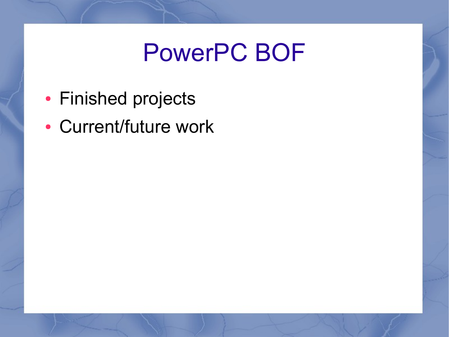## PowerPC BOF

- Finished projects
- Current/future work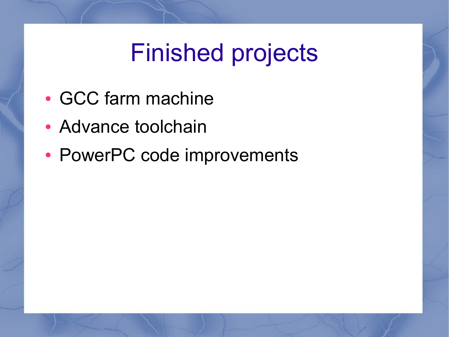# Finished projects

- GCC farm machine
- Advance toolchain
- PowerPC code improvements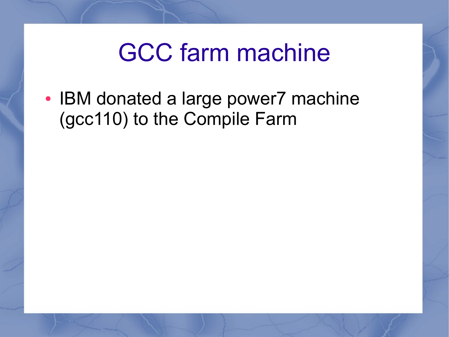#### GCC farm machine

• IBM donated a large power7 machine (gcc110) to the Compile Farm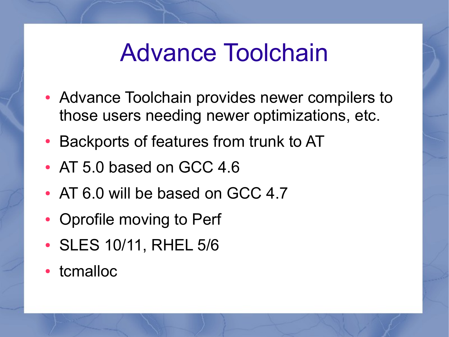#### Advance Toolchain

- Advance Toolchain provides newer compilers to those users needing newer optimizations, etc.
- Backports of features from trunk to AT
- AT 5.0 based on GCC 4.6
- AT 6.0 will be based on GCC 4.7
- Oprofile moving to Perf
- SLES 10/11, RHEL 5/6
- tcmalloc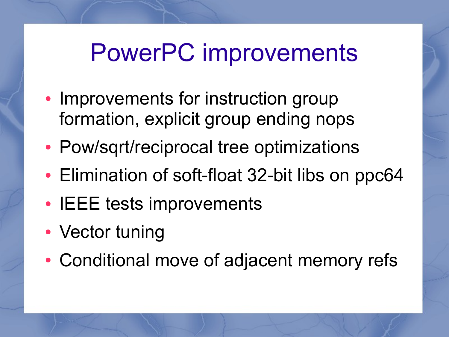## PowerPC improvements

- Improvements for instruction group formation, explicit group ending nops
- Pow/sqrt/reciprocal tree optimizations
- Elimination of soft-float 32-bit libs on ppc64
- IEEE tests improvements
- Vector tuning
- Conditional move of adjacent memory refs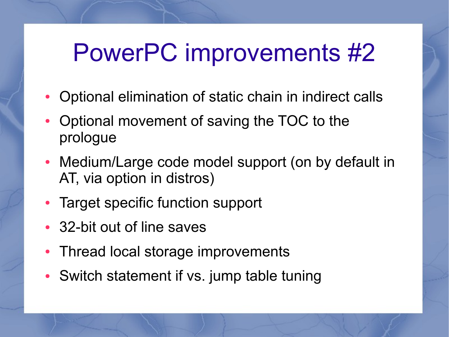# PowerPC improvements #2

- Optional elimination of static chain in indirect calls
- Optional movement of saving the TOC to the prologue
- Medium/Large code model support (on by default in AT, via option in distros)
- Target specific function support
- 32-bit out of line saves
- Thread local storage improvements
- Switch statement if vs. jump table tuning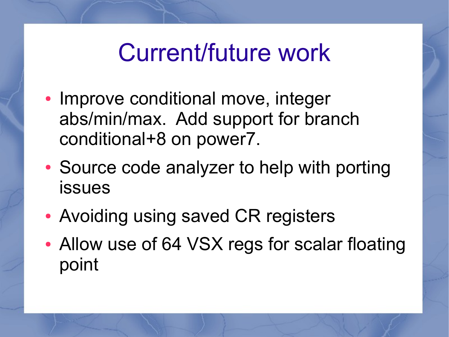## Current/future work

- Improve conditional move, integer abs/min/max. Add support for branch conditional+8 on power7.
- Source code analyzer to help with porting issues
- Avoiding using saved CR registers
- Allow use of 64 VSX regs for scalar floating point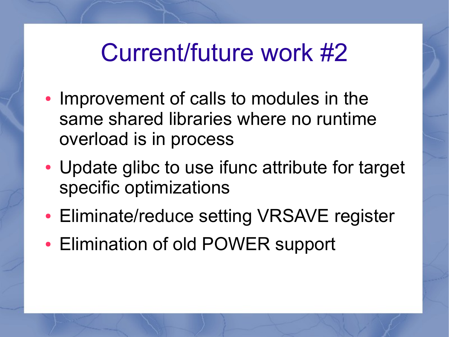## Current/future work #2

- Improvement of calls to modules in the same shared libraries where no runtime overload is in process
- Update glibc to use ifunc attribute for target specific optimizations
- Eliminate/reduce setting VRSAVE register
- Elimination of old POWER support